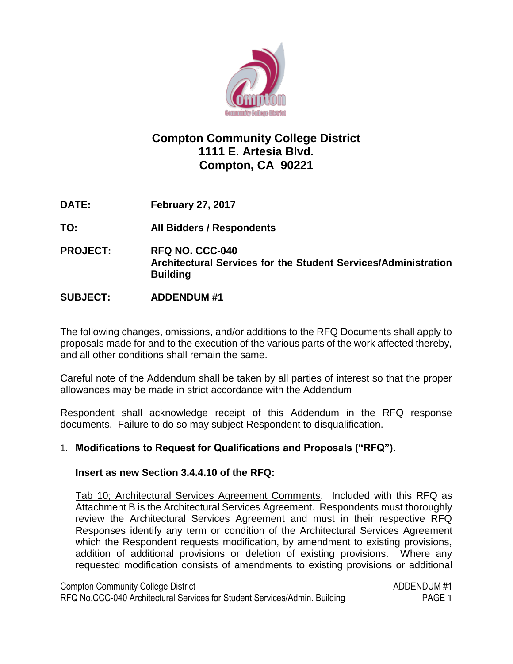

# **Compton Community College District 1111 E. Artesia Blvd. Compton, CA 90221**

**DATE: February 27, 2017**

**TO: All Bidders / Respondents**

**PROJECT: RFQ NO. CCC-040 Architectural Services for the Student Services/Administration Building**

# **SUBJECT: ADDENDUM #1**

The following changes, omissions, and/or additions to the RFQ Documents shall apply to proposals made for and to the execution of the various parts of the work affected thereby, and all other conditions shall remain the same.

Careful note of the Addendum shall be taken by all parties of interest so that the proper allowances may be made in strict accordance with the Addendum

Respondent shall acknowledge receipt of this Addendum in the RFQ response documents. Failure to do so may subject Respondent to disqualification.

# 1. **Modifications to Request for Qualifications and Proposals ("RFQ")**.

# **Insert as new Section 3.4.4.10 of the RFQ:**

Tab 10; Architectural Services Agreement Comments. Included with this RFQ as Attachment B is the Architectural Services Agreement. Respondents must thoroughly review the Architectural Services Agreement and must in their respective RFQ Responses identify any term or condition of the Architectural Services Agreement which the Respondent requests modification, by amendment to existing provisions, addition of additional provisions or deletion of existing provisions. Where any requested modification consists of amendments to existing provisions or additional

Compton Community College District ADDENDUM #1

RFQ No.CCC-040 Architectural Services for Student Services/Admin. Building PAGE 1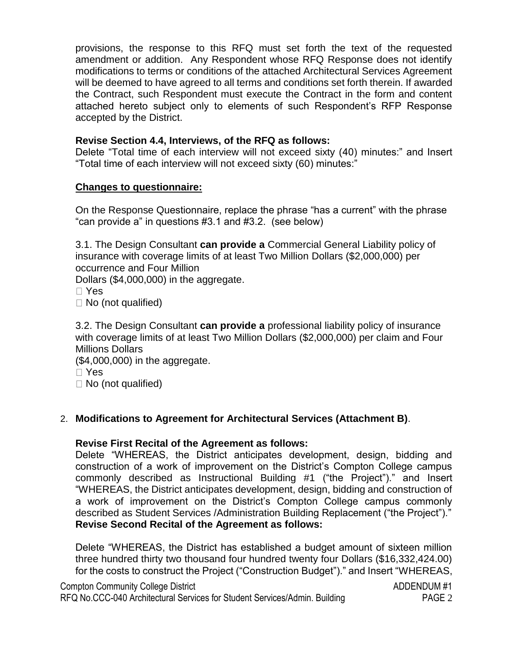provisions, the response to this RFQ must set forth the text of the requested amendment or addition. Any Respondent whose RFQ Response does not identify modifications to terms or conditions of the attached Architectural Services Agreement will be deemed to have agreed to all terms and conditions set forth therein. If awarded the Contract, such Respondent must execute the Contract in the form and content attached hereto subject only to elements of such Respondent's RFP Response accepted by the District.

### **Revise Section 4.4, Interviews, of the RFQ as follows:**

Delete "Total time of each interview will not exceed sixty (40) minutes:" and Insert "Total time of each interview will not exceed sixty (60) minutes:"

#### **Changes to questionnaire:**

On the Response Questionnaire, replace the phrase "has a current" with the phrase "can provide a" in questions #3.1 and #3.2. (see below)

3.1. The Design Consultant **can provide a** Commercial General Liability policy of insurance with coverage limits of at least Two Million Dollars (\$2,000,000) per occurrence and Four Million

Dollars (\$4,000,000) in the aggregate.

Yes

 $\Box$  No (not qualified)

3.2. The Design Consultant **can provide a** professional liability policy of insurance with coverage limits of at least Two Million Dollars (\$2,000,000) per claim and Four Millions Dollars

(\$4,000,000) in the aggregate.

 $\Box$  No (not qualified)

# 2. **Modifications to Agreement for Architectural Services (Attachment B)**.

#### **Revise First Recital of the Agreement as follows:**

Delete "WHEREAS, the District anticipates development, design, bidding and construction of a work of improvement on the District's Compton College campus commonly described as Instructional Building #1 ("the Project")." and Insert "WHEREAS, the District anticipates development, design, bidding and construction of a work of improvement on the District's Compton College campus commonly described as Student Services /Administration Building Replacement ("the Project")." **Revise Second Recital of the Agreement as follows:**

Delete "WHEREAS, the District has established a budget amount of sixteen million three hundred thirty two thousand four hundred twenty four Dollars (\$16,332,424.00) for the costs to construct the Project ("Construction Budget")." and Insert "WHEREAS,

| <b>Compton Community College District</b>                                  | ADDENDUM#1        |
|----------------------------------------------------------------------------|-------------------|
| RFQ No.CCC-040 Architectural Services for Student Services/Admin. Building | PAGE <sub>2</sub> |

Yes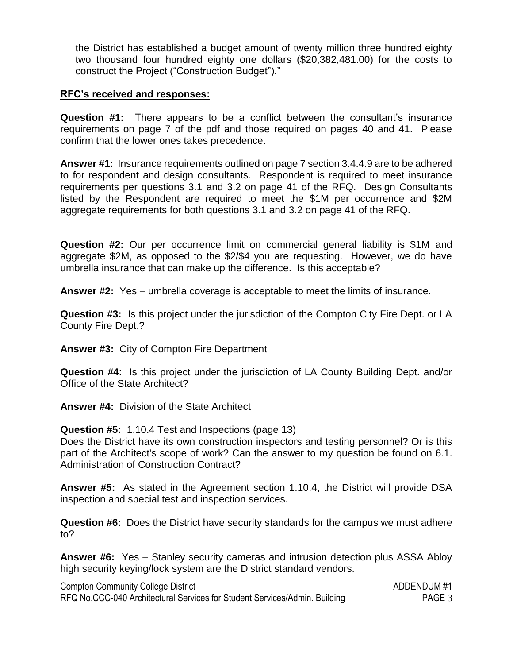the District has established a budget amount of twenty million three hundred eighty two thousand four hundred eighty one dollars (\$20,382,481.00) for the costs to construct the Project ("Construction Budget")."

#### **RFC's received and responses:**

**Question #1:** There appears to be a conflict between the consultant's insurance requirements on page 7 of the pdf and those required on pages 40 and 41. Please confirm that the lower ones takes precedence.

**Answer #1:** Insurance requirements outlined on page 7 section 3.4.4.9 are to be adhered to for respondent and design consultants. Respondent is required to meet insurance requirements per questions 3.1 and 3.2 on page 41 of the RFQ. Design Consultants listed by the Respondent are required to meet the \$1M per occurrence and \$2M aggregate requirements for both questions 3.1 and 3.2 on page 41 of the RFQ.

**Question #2:** Our per occurrence limit on commercial general liability is \$1M and aggregate \$2M, as opposed to the \$2/\$4 you are requesting. However, we do have umbrella insurance that can make up the difference. Is this acceptable?

**Answer #2:** Yes – umbrella coverage is acceptable to meet the limits of insurance.

**Question #3:** Is this project under the jurisdiction of the Compton City Fire Dept. or LA County Fire Dept.?

**Answer #3:** City of Compton Fire Department

**Question #4**: Is this project under the jurisdiction of LA County Building Dept. and/or Office of the State Architect?

**Answer #4:** Division of the State Architect

**Question #5:** 1.10.4 Test and Inspections (page 13) Does the District have its own construction inspectors and testing personnel? Or is this part of the Architect's scope of work? Can the answer to my question be found on 6.1. Administration of Construction Contract?

**Answer #5:** As stated in the Agreement section 1.10.4, the District will provide DSA inspection and special test and inspection services.

**Question #6:** Does the District have security standards for the campus we must adhere to?

**Answer #6:** Yes – Stanley security cameras and intrusion detection plus ASSA Abloy high security keying/lock system are the District standard vendors.

Compton Community College District ADDENDUM #1 RFQ No.CCC-040 Architectural Services for Student Services/Admin. Building PAGE 3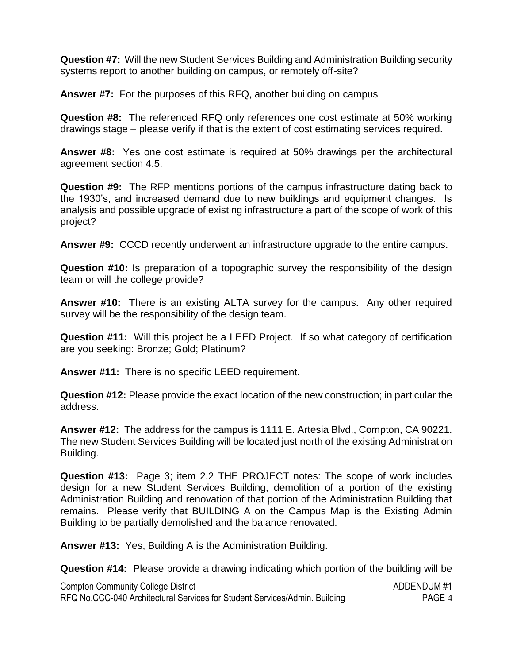**Question #7:** Will the new Student Services Building and Administration Building security systems report to another building on campus, or remotely off-site?

**Answer #7:** For the purposes of this RFQ, another building on campus

**Question #8:** The referenced RFQ only references one cost estimate at 50% working drawings stage – please verify if that is the extent of cost estimating services required.

**Answer #8:** Yes one cost estimate is required at 50% drawings per the architectural agreement section 4.5.

**Question #9:** The RFP mentions portions of the campus infrastructure dating back to the 1930's, and increased demand due to new buildings and equipment changes. Is analysis and possible upgrade of existing infrastructure a part of the scope of work of this project?

**Answer #9:** CCCD recently underwent an infrastructure upgrade to the entire campus.

**Question #10:** Is preparation of a topographic survey the responsibility of the design team or will the college provide?

**Answer #10:** There is an existing ALTA survey for the campus. Any other required survey will be the responsibility of the design team.

**Question #11:** Will this project be a LEED Project. If so what category of certification are you seeking: Bronze; Gold; Platinum?

**Answer #11:** There is no specific LEED requirement.

**Question #12:** Please provide the exact location of the new construction; in particular the address.

**Answer #12:** The address for the campus is 1111 E. Artesia Blvd., Compton, CA 90221. The new Student Services Building will be located just north of the existing Administration Building.

**Question #13:** Page 3; item 2.2 THE PROJECT notes: The scope of work includes design for a new Student Services Building, demolition of a portion of the existing Administration Building and renovation of that portion of the Administration Building that remains. Please verify that BUILDING A on the Campus Map is the Existing Admin Building to be partially demolished and the balance renovated.

**Answer #13:** Yes, Building A is the Administration Building.

**Question #14:** Please provide a drawing indicating which portion of the building will be

| <b>Compton Community College District</b>                                  | ADDENDUM#1 |
|----------------------------------------------------------------------------|------------|
| RFQ No.CCC-040 Architectural Services for Student Services/Admin. Building | PAGE 4     |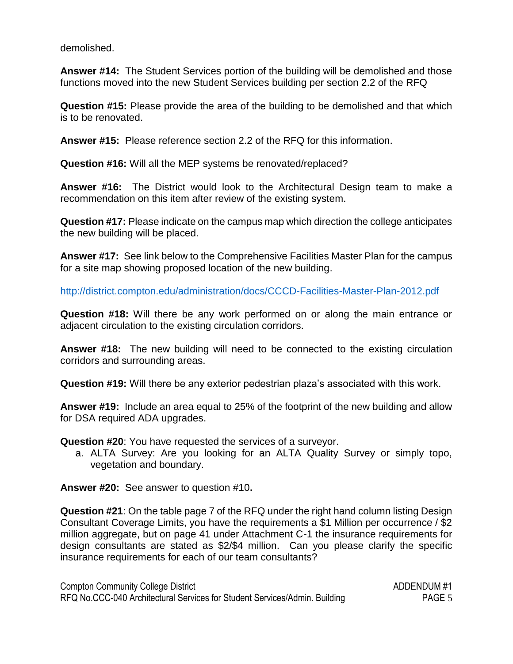demolished.

**Answer #14:** The Student Services portion of the building will be demolished and those functions moved into the new Student Services building per section 2.2 of the RFQ

**Question #15:** Please provide the area of the building to be demolished and that which is to be renovated.

**Answer #15:** Please reference section 2.2 of the RFQ for this information.

**Question #16:** Will all the MEP systems be renovated/replaced?

**Answer #16:** The District would look to the Architectural Design team to make a recommendation on this item after review of the existing system.

**Question #17:** Please indicate on the campus map which direction the college anticipates the new building will be placed.

**Answer #17:** See link below to the Comprehensive Facilities Master Plan for the campus for a site map showing proposed location of the new building.

<http://district.compton.edu/administration/docs/CCCD-Facilities-Master-Plan-2012.pdf>

**Question #18:** Will there be any work performed on or along the main entrance or adjacent circulation to the existing circulation corridors.

**Answer #18:** The new building will need to be connected to the existing circulation corridors and surrounding areas.

**Question #19:** Will there be any exterior pedestrian plaza's associated with this work.

**Answer #19:** Include an area equal to 25% of the footprint of the new building and allow for DSA required ADA upgrades.

**Question #20**: You have requested the services of a surveyor.

a. ALTA Survey: Are you looking for an ALTA Quality Survey or simply topo, vegetation and boundary.

**Answer #20:** See answer to question #10**.**

**Question #21**: On the table page 7 of the RFQ under the right hand column listing Design Consultant Coverage Limits, you have the requirements a \$1 Million per occurrence / \$2 million aggregate, but on page 41 under Attachment C-1 the insurance requirements for design consultants are stated as \$2/\$4 million. Can you please clarify the specific insurance requirements for each of our team consultants?

Compton Community College District ADDENDUM #1 RFQ No.CCC-040 Architectural Services for Student Services/Admin. Building PAGE 5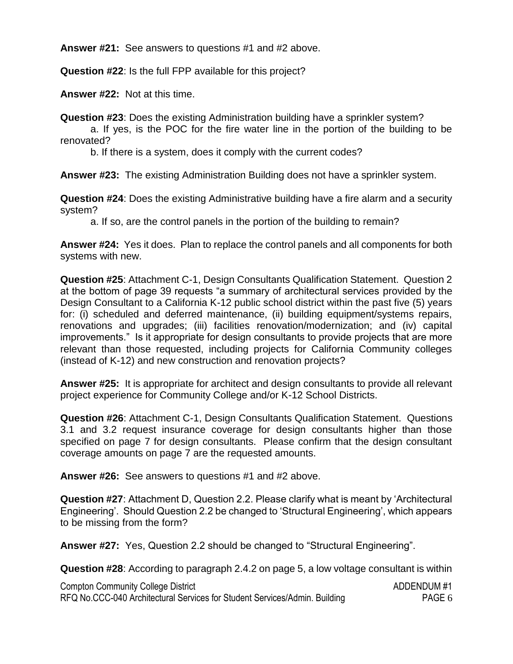**Answer #21:** See answers to questions #1 and #2 above.

**Question #22**: Is the full FPP available for this project?

**Answer #22:** Not at this time.

**Question #23**: Does the existing Administration building have a sprinkler system?

a. If yes, is the POC for the fire water line in the portion of the building to be renovated?

b. If there is a system, does it comply with the current codes?

**Answer #23:** The existing Administration Building does not have a sprinkler system.

**Question #24**: Does the existing Administrative building have a fire alarm and a security system?

a. If so, are the control panels in the portion of the building to remain?

**Answer #24:** Yes it does. Plan to replace the control panels and all components for both systems with new.

**Question #25**: Attachment C-1, Design Consultants Qualification Statement. Question 2 at the bottom of page 39 requests "a summary of architectural services provided by the Design Consultant to a California K-12 public school district within the past five (5) years for: (i) scheduled and deferred maintenance, (ii) building equipment/systems repairs, renovations and upgrades; (iii) facilities renovation/modernization; and (iv) capital improvements." Is it appropriate for design consultants to provide projects that are more relevant than those requested, including projects for California Community colleges (instead of K-12) and new construction and renovation projects?

**Answer #25:** It is appropriate for architect and design consultants to provide all relevant project experience for Community College and/or K-12 School Districts.

**Question #26**: Attachment C-1, Design Consultants Qualification Statement. Questions 3.1 and 3.2 request insurance coverage for design consultants higher than those specified on page 7 for design consultants. Please confirm that the design consultant coverage amounts on page 7 are the requested amounts.

**Answer #26:** See answers to questions #1 and #2 above.

**Question #27**: Attachment D, Question 2.2. Please clarify what is meant by 'Architectural Engineering'. Should Question 2.2 be changed to 'Structural Engineering', which appears to be missing from the form?

**Answer #27:** Yes, Question 2.2 should be changed to "Structural Engineering".

**Question #28**: According to paragraph 2.4.2 on page 5, a low voltage consultant is within

| <b>Compton Community College District</b>                                  | ADDENDUM#1 |
|----------------------------------------------------------------------------|------------|
| RFQ No.CCC-040 Architectural Services for Student Services/Admin. Building | PAGE 6     |